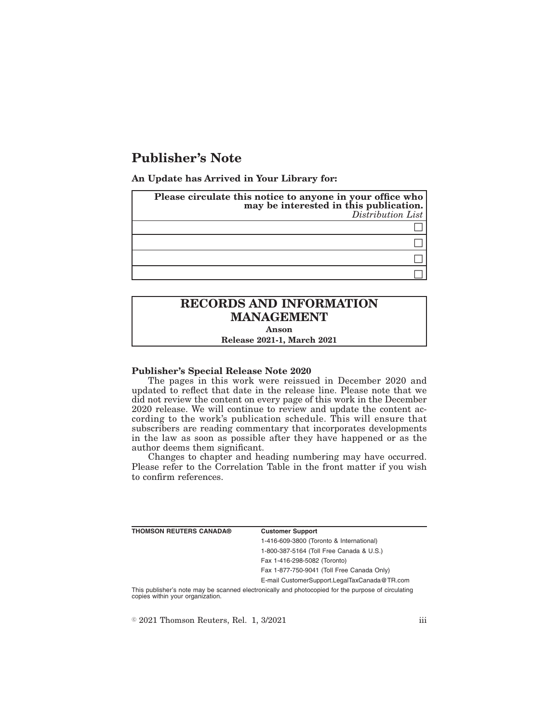## **Publisher's Note**

**An Update has Arrived in Your Library for:**

| Please circulate this notice to anyone in your office who<br>may be interested in this publication.<br>Distribution List |
|--------------------------------------------------------------------------------------------------------------------------|
|                                                                                                                          |
|                                                                                                                          |
|                                                                                                                          |
|                                                                                                                          |

## **RECORDS AND INFORMATION MANAGEMENT**

**Anson**

**Release 2021-1, March 2021**

## **Publisher's Special Release Note 2020**

The pages in this work were reissued in December 2020 and updated to reflect that date in the release line. Please note that we did not review the content on every page of this work in the December 2020 release. We will continue to review and update the content according to the work's publication schedule. This will ensure that subscribers are reading commentary that incorporates developments in the law as soon as possible after they have happened or as the author deems them significant.

Changes to chapter and heading numbering may have occurred. Please refer to the Correlation Table in the front matter if you wish to confirm references.

| THOMSON REUTERS CANADA® | <b>Customer Support</b>                      |
|-------------------------|----------------------------------------------|
|                         | 1-416-609-3800 (Toronto & International)     |
|                         | 1-800-387-5164 (Toll Free Canada & U.S.)     |
|                         | Fax 1-416-298-5082 (Toronto)                 |
|                         | Fax 1-877-750-9041 (Toll Free Canada Only)   |
|                         | E-mail CustomerSupport.LegalTaxCanada@TR.com |
|                         |                                              |

This publisher's note may be scanned electronically and photocopied for the purpose of circulating copies within your organization.

 $\textdegree$  2021 Thomson Reuters, Rel. 1, 3/2021 iii